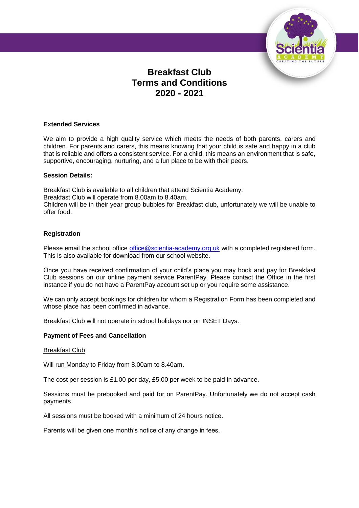

# **Breakfast Club Terms and Conditions 2020 - 2021**

## **Extended Services**

We aim to provide a high quality service which meets the needs of both parents, carers and children. For parents and carers, this means knowing that your child is safe and happy in a club that is reliable and offers a consistent service. For a child, this means an environment that is safe, supportive, encouraging, nurturing, and a fun place to be with their peers.

## **Session Details:**

Breakfast Club is available to all children that attend Scientia Academy. Breakfast Club will operate from 8.00am to 8.40am. Children will be in their year group bubbles for Breakfast club, unfortunately we will be unable to offer food.

## **Registration**

Please email the school office [office@scientia-academy.org.uk](mailto:office@scientia-academy.org.uk) with a completed registered form. This is also available for download from our school website.

Once you have received confirmation of your child's place you may book and pay for Breakfast Club sessions on our online payment service ParentPay. Please contact the Office in the first instance if you do not have a ParentPay account set up or you require some assistance.

We can only accept bookings for children for whom a Registration Form has been completed and whose place has been confirmed in advance.

Breakfast Club will not operate in school holidays nor on INSET Days.

#### **Payment of Fees and Cancellation**

#### Breakfast Club

Will run Monday to Friday from 8.00am to 8.40am.

The cost per session is £1.00 per day, £5.00 per week to be paid in advance.

Sessions must be prebooked and paid for on ParentPay. Unfortunately we do not accept cash payments.

All sessions must be booked with a minimum of 24 hours notice.

Parents will be given one month's notice of any change in fees.